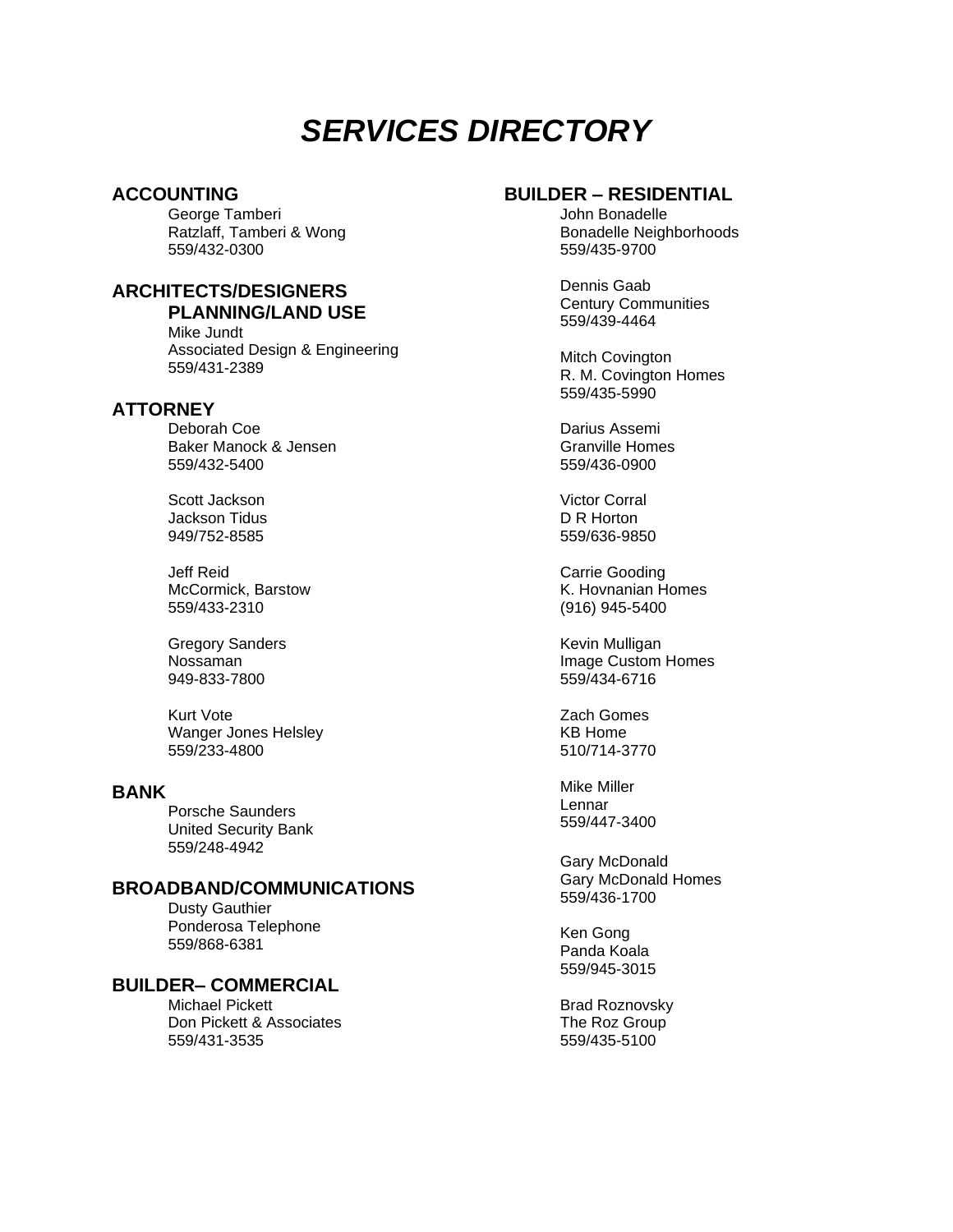# *SERVICES DIRECTORY*

# **ACCOUNTING**

George Tamberi Ratzlaff, Tamberi & Wong 559/432-0300

# **ARCHITECTS/DESIGNERS**

**PLANNING/LAND USE** Mike Jundt

Associated Design & Engineering 559/431-2389

# **ATTORNEY**

Deborah Coe Baker Manock & Jensen 559/432-5400

Scott Jackson Jackson Tidus 949/752-8585

Jeff Reid McCormick, Barstow 559/433-2310

Gregory Sanders Nossaman 949-833-7800

Kurt Vote Wanger Jones Helsley 559/233-4800

#### **BANK**

Porsche Saunders United Security Bank 559/248-4942

# **BROADBAND/COMMUNICATIONS**

Dusty Gauthier Ponderosa Telephone 559/868-6381

# **BUILDER– COMMERCIAL**

Michael Pickett Don Pickett & Associates 559/431-3535

# **BUILDER – RESIDENTIAL**

John Bonadelle Bonadelle Neighborhoods 559/435-9700

Dennis Gaab Century Communities 559/439-4464

Mitch Covington R. M. Covington Homes 559/435-5990

Darius Assemi Granville Homes 559/436-0900

Victor Corral D R Horton 559/636-9850

Carrie Gooding K. Hovnanian Homes (916) 945-5400

Kevin Mulligan Image Custom Homes 559/434-6716

Zach Gomes KB Home 510/714-3770

Mike Miller Lennar 559/447-3400

Gary McDonald Gary McDonald Homes 559/436-1700

Ken Gong Panda Koala 559/945-3015

Brad Roznovsky The Roz Group 559/435-5100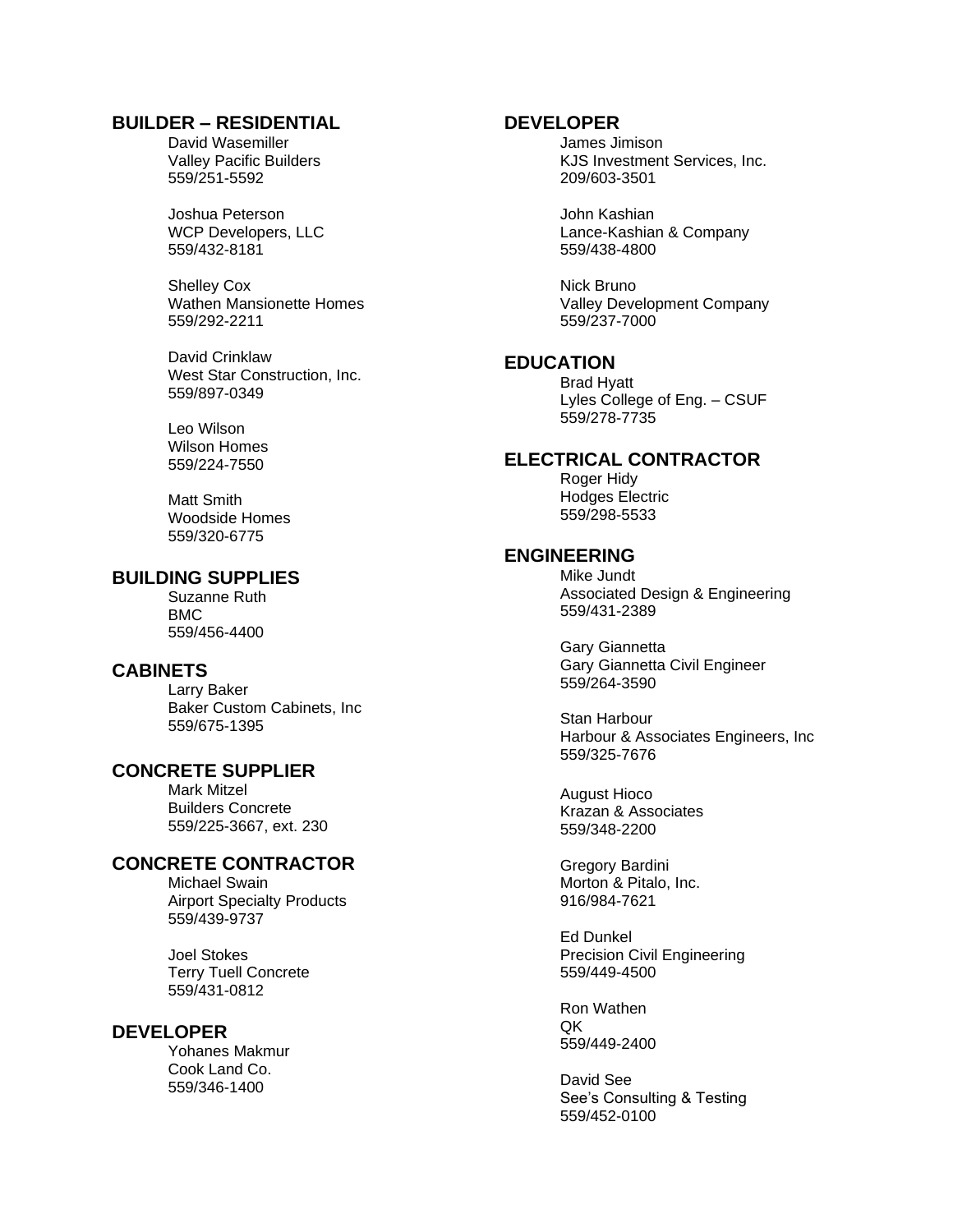# **BUILDER – RESIDENTIAL**

David Wasemiller Valley Pacific Builders 559/251-5592

Joshua Peterson WCP Developers, LLC 559/432-8181

Shelley Cox Wathen Mansionette Homes 559/292-2211

David Crinklaw West Star Construction, Inc. 559/897-0349

Leo Wilson Wilson Homes 559/224-7550

Matt Smith Woodside Homes 559/320-6775

# **BUILDING SUPPLIES**

Suzanne Ruth BMC 559/456-4400

## **CABINETS**

Larry Baker Baker Custom Cabinets, Inc 559/675-1395

# **CONCRETE SUPPLIER**

Mark Mitzel Builders Concrete 559/225-3667, ext. 230

# **CONCRETE CONTRACTOR**

Michael Swain Airport Specialty Products 559/439-9737

Joel Stokes Terry Tuell Concrete 559/431-0812

#### **DEVELOPER**

Yohanes Makmur Cook Land Co. 559/346-1400

#### **DEVELOPER**

James Jimison KJS Investment Services, Inc. 209/603-3501

John Kashian Lance-Kashian & Company 559/438-4800

Nick Bruno Valley Development Company 559/237-7000

# **EDUCATION**

Brad Hyatt Lyles College of Eng. – CSUF 559/278-7735

#### **ELECTRICAL CONTRACTOR**

Roger Hidy Hodges Electric 559/298-5533

#### **ENGINEERING**

Mike Jundt Associated Design & Engineering 559/431-2389

Gary Giannetta Gary Giannetta Civil Engineer 559/264-3590

Stan Harbour Harbour & Associates Engineers, Inc 559/325-7676

August Hioco Krazan & Associates 559/348-2200

Gregory Bardini Morton & Pitalo, Inc. 916/984-7621

Ed Dunkel Precision Civil Engineering 559/449-4500

Ron Wathen  $OK$ 559/449-2400

David See See's Consulting & Testing 559/452-0100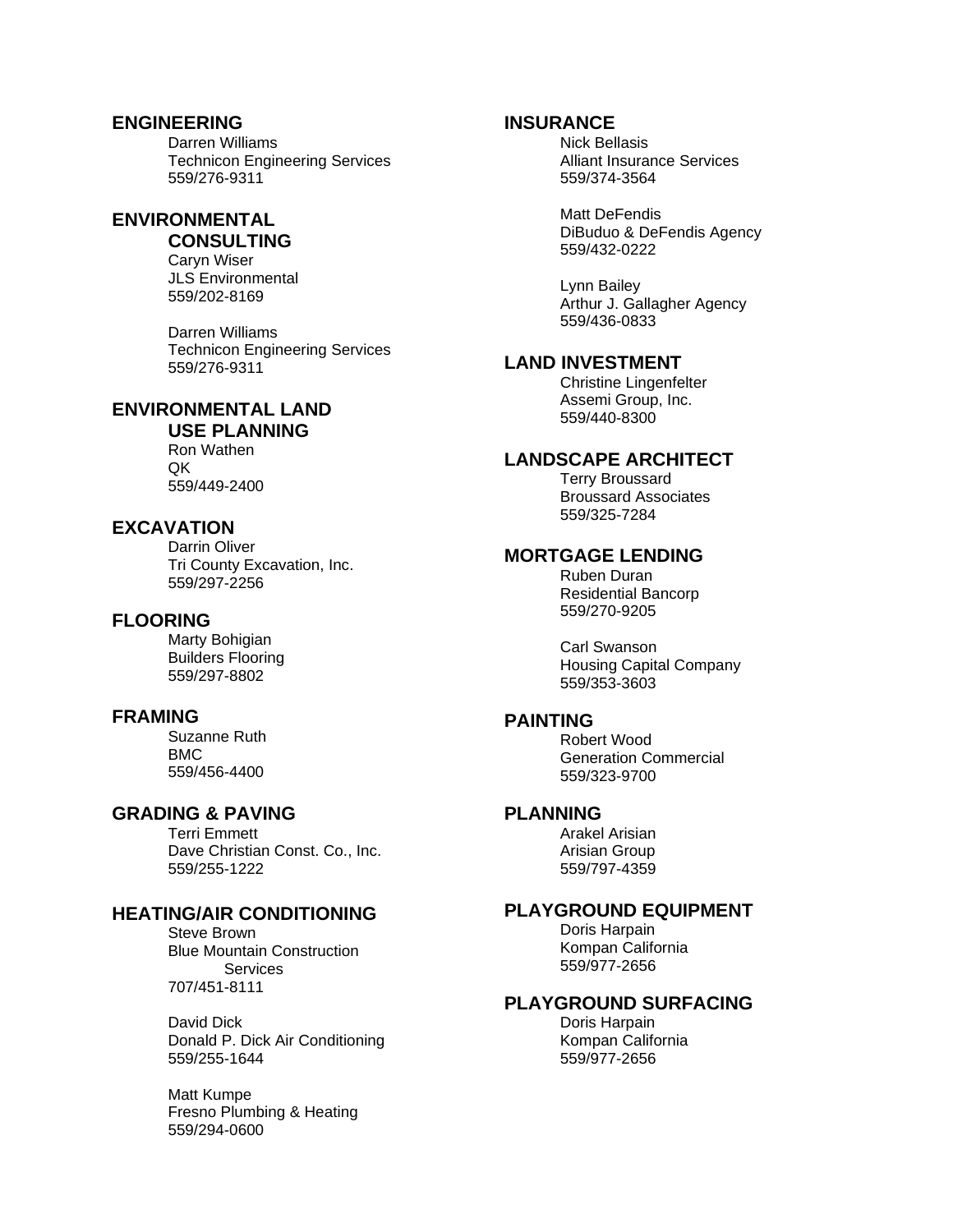# **ENGINEERING**

Darren Williams Technicon Engineering Services 559/276-9311

#### **ENVIRONMENTAL CONSULTING**

Caryn Wiser JLS Environmental 559/202-8169

Darren Williams Technicon Engineering Services 559/276-9311

# **ENVIRONMENTAL LAND**

**USE PLANNING** Ron Wathen QK 559/449-2400

# **EXCAVATION**

Darrin Oliver Tri County Excavation, Inc. 559/297-2256

# **FLOORING**

Marty Bohigian Builders Flooring 559/297-8802

#### **FRAMING**

Suzanne Ruth BMC 559/456-4400

# **GRADING & PAVING**

Terri Emmett Dave Christian Const. Co., Inc. 559/255-1222

# **HEATING/AIR CONDITIONING**

Steve Brown Blue Mountain Construction **Services** 707/451-8111

David Dick Donald P. Dick Air Conditioning 559/255-1644

Matt Kumpe Fresno Plumbing & Heating 559/294-0600

# **INSURANCE**

Nick Bellasis Alliant Insurance Services 559/374-3564

Matt DeFendis DiBuduo & DeFendis Agency 559/432-0222

Lynn Bailey Arthur J. Gallagher Agency 559/436-0833

# **LAND INVESTMENT**

Christine Lingenfelter Assemi Group, Inc. 559/440-8300

# **LANDSCAPE ARCHITECT**

Terry Broussard Broussard Associates 559/325-7284

# **MORTGAGE LENDING**

Ruben Duran Residential Bancorp 559/270-9205

Carl Swanson Housing Capital Company 559/353-3603

#### **PAINTING**

Robert Wood Generation Commercial 559/323-9700

# **PLANNING**

Arakel Arisian Arisian Group 559/797-4359

# **PLAYGROUND EQUIPMENT**

Doris Harpain Kompan California 559/977-2656

#### **PLAYGROUND SURFACING**

Doris Harpain Kompan California 559/977-2656